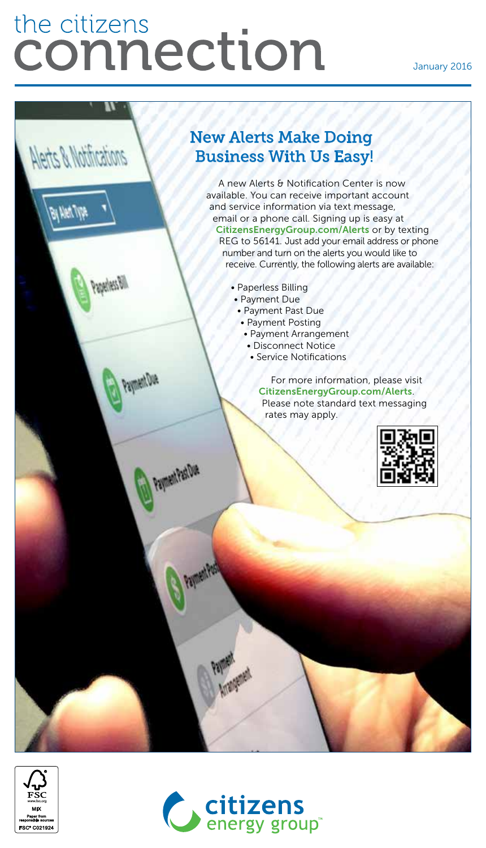# the citizens connection

Alerts & Notifications

**Balled W** 

*Weather* 

Payment Due

Payment Past Due

#### January 2016



A new Alerts & Notification Center is now available. You can receive important account and service information via text message, email or a phone call. Signing up is easy at [CitizensEnergyGroup.com/Alerts](https://www.citizensenergygroup.com/My-Account/Alerts-Notifications) or by texting REG to 56141. Just add your email address or phone number and turn on the alerts you would like to receive. Currently, the following alerts are available:

- Paperless Billing
- Payment Due
	- Payment Past Due
	- Payment Posting
		- Payment Arrangement
		- Disconnect Notice
		- Service Notifications

For more information, please visit [CitizensEnergyGroup.com/Alerts](https://www.citizensenergygroup.com/My-Account/Alerts-Notifications). Please note standard text messaging rates may apply.